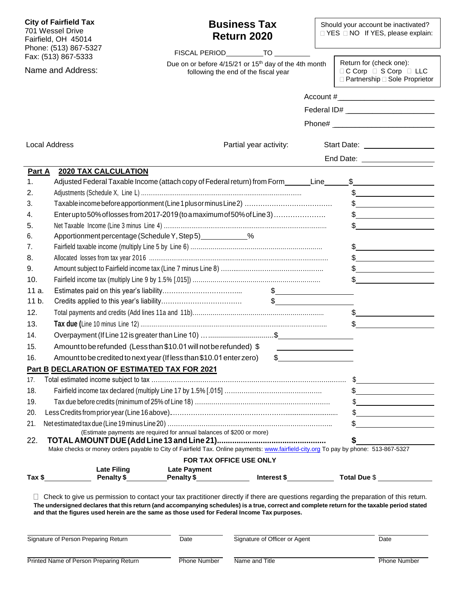| <b>City of Fairfield Tax</b><br>701 Wessel Drive<br>Fairfield, OH 45014<br>Phone: (513) 867-5327<br>Fax: (513) 867-5333<br>Name and Address: |                                         |                                                                                                                                                                                                                                             | <b>Business Tax</b><br>Return 2020<br>FISCAL PERIOD TO                                                    | Should your account be inactivated?<br>□ YES □ NO If YES, please explain: |                                                                                                                                                                                                                                                                                                                                                                                                                                                                                                                                                                         |  |  |
|----------------------------------------------------------------------------------------------------------------------------------------------|-----------------------------------------|---------------------------------------------------------------------------------------------------------------------------------------------------------------------------------------------------------------------------------------------|-----------------------------------------------------------------------------------------------------------|---------------------------------------------------------------------------|-------------------------------------------------------------------------------------------------------------------------------------------------------------------------------------------------------------------------------------------------------------------------------------------------------------------------------------------------------------------------------------------------------------------------------------------------------------------------------------------------------------------------------------------------------------------------|--|--|
|                                                                                                                                              |                                         |                                                                                                                                                                                                                                             | Due on or before 4/15/21 or 15 <sup>th</sup> day of the 4th month<br>following the end of the fiscal year |                                                                           | Return for (check one):<br>$\Box$ C Corp $\Box$ S Corp $\Box$ LLC<br>□ Partnership □ Sole Proprietor                                                                                                                                                                                                                                                                                                                                                                                                                                                                    |  |  |
|                                                                                                                                              |                                         |                                                                                                                                                                                                                                             |                                                                                                           |                                                                           |                                                                                                                                                                                                                                                                                                                                                                                                                                                                                                                                                                         |  |  |
|                                                                                                                                              |                                         |                                                                                                                                                                                                                                             |                                                                                                           |                                                                           |                                                                                                                                                                                                                                                                                                                                                                                                                                                                                                                                                                         |  |  |
|                                                                                                                                              |                                         |                                                                                                                                                                                                                                             |                                                                                                           |                                                                           |                                                                                                                                                                                                                                                                                                                                                                                                                                                                                                                                                                         |  |  |
|                                                                                                                                              |                                         |                                                                                                                                                                                                                                             |                                                                                                           |                                                                           |                                                                                                                                                                                                                                                                                                                                                                                                                                                                                                                                                                         |  |  |
| <b>Local Address</b>                                                                                                                         |                                         |                                                                                                                                                                                                                                             | Partial year activity:                                                                                    |                                                                           | Start Date: _________________                                                                                                                                                                                                                                                                                                                                                                                                                                                                                                                                           |  |  |
|                                                                                                                                              |                                         |                                                                                                                                                                                                                                             |                                                                                                           | End Date: <u>___________________</u>                                      |                                                                                                                                                                                                                                                                                                                                                                                                                                                                                                                                                                         |  |  |
| Part A                                                                                                                                       | <b>2020 TAX CALCULATION</b>             |                                                                                                                                                                                                                                             |                                                                                                           |                                                                           |                                                                                                                                                                                                                                                                                                                                                                                                                                                                                                                                                                         |  |  |
| 1.                                                                                                                                           |                                         | Adjusted Federal Taxable Income (attach copy of Federal return) from Form_______Line_______                                                                                                                                                 |                                                                                                           |                                                                           | $\frac{1}{2}$                                                                                                                                                                                                                                                                                                                                                                                                                                                                                                                                                           |  |  |
| 2.                                                                                                                                           |                                         |                                                                                                                                                                                                                                             |                                                                                                           |                                                                           |                                                                                                                                                                                                                                                                                                                                                                                                                                                                                                                                                                         |  |  |
| 3.                                                                                                                                           |                                         |                                                                                                                                                                                                                                             |                                                                                                           |                                                                           | $\begin{picture}(20,10) \put(0,0){\vector(1,0){100}} \put(15,0){\vector(1,0){100}} \put(15,0){\vector(1,0){100}} \put(15,0){\vector(1,0){100}} \put(15,0){\vector(1,0){100}} \put(15,0){\vector(1,0){100}} \put(15,0){\vector(1,0){100}} \put(15,0){\vector(1,0){100}} \put(15,0){\vector(1,0){100}} \put(15,0){\vector(1,0){100}} \put(15,0){\vector(1,0){100}} \$                                                                                                                                                                                                     |  |  |
| 4.                                                                                                                                           |                                         | Enterupto 50% of losses from 2017-2019 (to a maximum of 50% of Line 3)                                                                                                                                                                      |                                                                                                           |                                                                           | $\frac{1}{2}$                                                                                                                                                                                                                                                                                                                                                                                                                                                                                                                                                           |  |  |
| 5.                                                                                                                                           |                                         |                                                                                                                                                                                                                                             |                                                                                                           |                                                                           | $\begin{array}{c c} \uparrow \end{array}$                                                                                                                                                                                                                                                                                                                                                                                                                                                                                                                               |  |  |
| 6.                                                                                                                                           |                                         | Apportionment percentage (Schedule Y, Step 5) _____________%                                                                                                                                                                                |                                                                                                           |                                                                           |                                                                                                                                                                                                                                                                                                                                                                                                                                                                                                                                                                         |  |  |
| 7.                                                                                                                                           |                                         |                                                                                                                                                                                                                                             |                                                                                                           |                                                                           | $\frac{1}{2}$                                                                                                                                                                                                                                                                                                                                                                                                                                                                                                                                                           |  |  |
| 8.                                                                                                                                           |                                         |                                                                                                                                                                                                                                             |                                                                                                           |                                                                           | $\frac{1}{2}$                                                                                                                                                                                                                                                                                                                                                                                                                                                                                                                                                           |  |  |
| 9.                                                                                                                                           |                                         |                                                                                                                                                                                                                                             |                                                                                                           |                                                                           |                                                                                                                                                                                                                                                                                                                                                                                                                                                                                                                                                                         |  |  |
| 10.                                                                                                                                          |                                         |                                                                                                                                                                                                                                             |                                                                                                           |                                                                           | $\frac{1}{2}$                                                                                                                                                                                                                                                                                                                                                                                                                                                                                                                                                           |  |  |
| 11 a.                                                                                                                                        |                                         |                                                                                                                                                                                                                                             |                                                                                                           |                                                                           |                                                                                                                                                                                                                                                                                                                                                                                                                                                                                                                                                                         |  |  |
| 11 b.                                                                                                                                        |                                         |                                                                                                                                                                                                                                             |                                                                                                           |                                                                           |                                                                                                                                                                                                                                                                                                                                                                                                                                                                                                                                                                         |  |  |
| 12.                                                                                                                                          |                                         |                                                                                                                                                                                                                                             |                                                                                                           |                                                                           |                                                                                                                                                                                                                                                                                                                                                                                                                                                                                                                                                                         |  |  |
| 13.                                                                                                                                          |                                         |                                                                                                                                                                                                                                             |                                                                                                           |                                                                           | $\frac{1}{2}$                                                                                                                                                                                                                                                                                                                                                                                                                                                                                                                                                           |  |  |
|                                                                                                                                              |                                         |                                                                                                                                                                                                                                             |                                                                                                           |                                                                           | \$                                                                                                                                                                                                                                                                                                                                                                                                                                                                                                                                                                      |  |  |
| 14.                                                                                                                                          |                                         | Overpayment (If Line 12 is greater than Line 10) \$                                                                                                                                                                                         |                                                                                                           |                                                                           |                                                                                                                                                                                                                                                                                                                                                                                                                                                                                                                                                                         |  |  |
| 15.                                                                                                                                          |                                         | Amount to be refunded (Less than \$10.01 will not be refunded) \$                                                                                                                                                                           | <u> 1986 - John Stone, amerikansk politiker (</u>                                                         |                                                                           |                                                                                                                                                                                                                                                                                                                                                                                                                                                                                                                                                                         |  |  |
| 16.                                                                                                                                          |                                         | Amount to be credited to next year (If less than \$10.01 enter zero)                                                                                                                                                                        | $\mathfrak{S}$                                                                                            |                                                                           |                                                                                                                                                                                                                                                                                                                                                                                                                                                                                                                                                                         |  |  |
|                                                                                                                                              |                                         | <b>Part B DECLARATION OF ESTIMATED TAX FOR 2021</b>                                                                                                                                                                                         |                                                                                                           |                                                                           |                                                                                                                                                                                                                                                                                                                                                                                                                                                                                                                                                                         |  |  |
| 17.                                                                                                                                          |                                         |                                                                                                                                                                                                                                             |                                                                                                           |                                                                           |                                                                                                                                                                                                                                                                                                                                                                                                                                                                                                                                                                         |  |  |
| 18.                                                                                                                                          |                                         |                                                                                                                                                                                                                                             |                                                                                                           |                                                                           | $\begin{array}{c c} \n\multicolumn{3}{c }{\textbf{\textcolor{red}{\bf\textcolor{green}{\bf\textcolor{green}{\bf\textcolor{green}{\bf\textcolor{green}{\bf\textcolor{green}{\bf\textcolor{green}{\bf\textcolor{green}{\bf\textcolor{green}{\bf\textcolor{green}{\bf\textcolor{blue}{\bf\textcolor{green}{\bf\textcolor{blue}{\bf\textcolor{blue}{\bf\textcolor{blue}{\bf\textcolor{blue}{\bf\textcolor{blue}{\bf\textcolor{blue}{\bf\textcolor{blue}{\bf\textcolor{blue}{\bf\textcolor{blue}{\bf\textcolor{blue}{\bf\textcolor{blue}{\bf\textcolor{blue}{\bf\textcolor{$ |  |  |
| 19.                                                                                                                                          |                                         |                                                                                                                                                                                                                                             |                                                                                                           |                                                                           | $\frac{1}{2}$                                                                                                                                                                                                                                                                                                                                                                                                                                                                                                                                                           |  |  |
| 20.                                                                                                                                          |                                         |                                                                                                                                                                                                                                             |                                                                                                           |                                                                           | $\frac{1}{2}$                                                                                                                                                                                                                                                                                                                                                                                                                                                                                                                                                           |  |  |
| 21.                                                                                                                                          |                                         | (Estimate payments are required for annual balances of \$200 or more)                                                                                                                                                                       |                                                                                                           |                                                                           | $\frac{1}{2}$                                                                                                                                                                                                                                                                                                                                                                                                                                                                                                                                                           |  |  |
| 22.                                                                                                                                          |                                         | Make checks or money orders payable to City of Fairfield Tax. Online payments: www.fairfield-city.org To pay by phone: 513-867-5327                                                                                                         |                                                                                                           |                                                                           | $\sim$                                                                                                                                                                                                                                                                                                                                                                                                                                                                                                                                                                  |  |  |
|                                                                                                                                              |                                         |                                                                                                                                                                                                                                             | FOR TAX OFFICE USE ONLY                                                                                   |                                                                           |                                                                                                                                                                                                                                                                                                                                                                                                                                                                                                                                                                         |  |  |
|                                                                                                                                              | <b>Late Filing</b>                      | <b>Late Payment</b>                                                                                                                                                                                                                         |                                                                                                           |                                                                           |                                                                                                                                                                                                                                                                                                                                                                                                                                                                                                                                                                         |  |  |
|                                                                                                                                              | $\frac{3}{2}$ Tax \$                    |                                                                                                                                                                                                                                             |                                                                                                           |                                                                           | Penalty \$ Penalty \$ Menalty \$ Merest \$ Total Due \$                                                                                                                                                                                                                                                                                                                                                                                                                                                                                                                 |  |  |
|                                                                                                                                              |                                         | The undersigned declares that this return (and accompanying schedules) is a true, correct and complete return for the taxable period stated<br>and that the figures used herein are the same as those used for Federal Income Tax purposes. |                                                                                                           |                                                                           | Check to give us permission to contact your tax practitioner directly if there are questions regarding the preparation of this return.                                                                                                                                                                                                                                                                                                                                                                                                                                  |  |  |
|                                                                                                                                              | Signature of Person Preparing Return    | <b>Date</b>                                                                                                                                                                                                                                 | Signature of Officer or Agent                                                                             |                                                                           | Date                                                                                                                                                                                                                                                                                                                                                                                                                                                                                                                                                                    |  |  |
|                                                                                                                                              | Printed Name of Person Preparing Return | Phone Number                                                                                                                                                                                                                                | Name and Title                                                                                            |                                                                           | <b>Phone Number</b>                                                                                                                                                                                                                                                                                                                                                                                                                                                                                                                                                     |  |  |